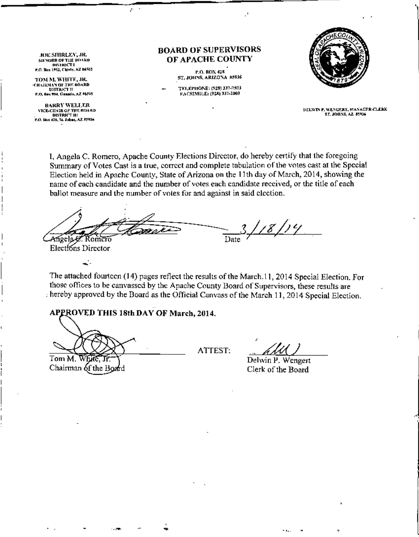**JOE SHIRLEY, JR. MEMBER OF THE BOARD DISTRICT I** P.O. Bos 1952, Chinle, AZ 84503

TOM M. WHITE, JR. CHAIRMAN OF THE BOARD

**DISTRICT II** P.O. Bes 794, Gausdo, AZ 46505 **BARRY WELLER** 

**VICE-CHAIR OF THE BOARD** DISTRICT III P.O. Dos 428, St. Johns, AZ 85934

## **BOARD OF SUPERVISORS** OF APACHE COUNTY

**P.O. BOX 428** ST. JOHNS, ARIZONA 85936

TELEPHONE: (928) 337-7503 FACSIMILE: (928) 337-2003



DELWIN P. WENGERT, MANAGER-CLERK **ST. JOHNS. AZ. 85936** 

I, Angela C. Romero, Apache County Elections Director, do hereby certify that the foregoing Summary of Votes Cast is a true, correct and complete tabulation of the votes cast at the Special Election held in Apache County, State of Arizona on the 11th day of March, 2014, showing the name of each candidate and the number of votes each candidate received, or the title of each ballot measure and the number of votes for and against in said election.

3. <u>| 18 | 1</u>4 Angela C Date : Romero

Elections Director

÷.

The attached fourteen (14) pages reflect the results of the March.11, 2014 Special Election, For those offices to be canvassed by the Apache County Board of Supervisors, these results are hereby approved by the Board as the Official Canvass of the March 11, 2014 Special Election.

## APPROVED THIS 18th DAY OF March, 2014.

 $\mathbf{r}$ 

Tom M. White:

Chairman of the Board

ATTEST:

Delwin P. Wengert Clerk of the Board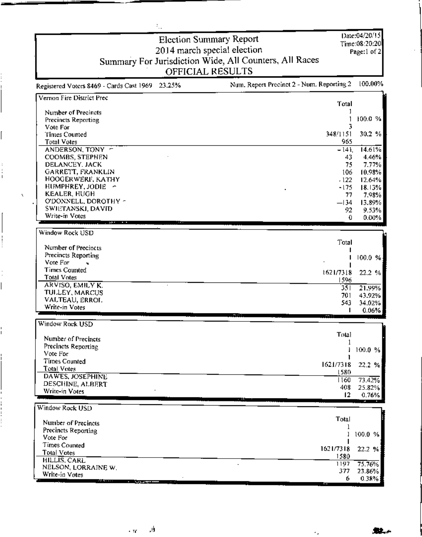| ÷.,                                                |                                                        |                |
|----------------------------------------------------|--------------------------------------------------------|----------------|
|                                                    | <b>Election Summary Report</b>                         | Date:04/20/15  |
|                                                    | 2014 march special election                            | Time:08:20:20  |
|                                                    |                                                        | Page:1 of 2    |
|                                                    | Summary For Jurisdiction Wide, All Counters, All Races |                |
|                                                    | OFFICIAL RESULTS                                       |                |
| 23.25%<br>Registered Voters 8469 - Cards Cast 1969 | Num. Report Precinct 2 - Num. Reporting 2              | 100.00%        |
| Vernon Fire District Prec                          | <b>Total</b>                                           |                |
| Number of Precincts                                |                                                        |                |
| <b>Precincts Reporting</b>                         |                                                        | 100.0 %        |
| Vote For                                           | 3                                                      |                |
| Times Counted                                      | 348/1151                                               | 30.2 %         |
| <b>Total Votes</b>                                 | 965                                                    |                |
| ANDERSON, TONY -                                   | $-141$                                                 | 14.61%         |
| COOMBS, STEPHEN<br>DELANCEY, JACK                  | 43<br>75                                               | 4.46%<br>7,77% |
| GARRETT, FRANKLIN                                  | 106                                                    | 10.98%         |
| HOOGERWERF, KATHY                                  | .122                                                   | 12.64%         |
| HUMPHREY, JODIE ~                                  | $-175$                                                 | 18.13%         |
| <b>KEALER, HUGH</b>                                | 77                                                     | 7,98%          |
| O'DONNELL, DOROTHY ~<br>SWIETANSKI, DAVID          | $-134$                                                 | 13.89%         |
| Write-in Votes                                     | 92<br>0.                                               | 9.53%<br>0.00% |
|                                                    |                                                        |                |
| Window Rock USD                                    |                                                        |                |
|                                                    | Total                                                  |                |
| Number of Precincts<br>Precincts Reporting         |                                                        |                |
| Vote For                                           |                                                        | 100.0 %        |
| <b>Times Counted</b>                               | 1621/7318                                              | 22.2 %         |
| Total Votes                                        | 1596                                                   |                |
| ARVISO, EMILY K.                                   | $3\overline{5}$                                        | 21.99%         |
| TULLEY, MARCUS<br>VALTEAU, ERROL                   | 701                                                    | 43.92%         |
| Write-in Votes                                     | 543                                                    | 34.02%         |
|                                                    |                                                        | 0.06%          |
| Window Rock USD                                    |                                                        |                |
| Number of Precincts                                | Total                                                  |                |
| Precincts Reporting                                |                                                        |                |
| Vote For                                           |                                                        | 100.0 %        |
| <b>Times Counted</b>                               | 1621/7318                                              | 22.2 %         |
| <b>Total Votes</b>                                 | 1580                                                   |                |
| DAWES, JOSEPHINE                                   | 1160                                                   | 73.42%         |
| DESCHINE, ALBERT<br>Write-in Votes                 | 408                                                    | 25.82%         |
|                                                    | 12                                                     | 0.76%          |
| Window Rock USD                                    |                                                        |                |
| Number of Precincts                                | Total                                                  |                |
| Precincts Reporting                                | 1                                                      |                |
| Vote For                                           |                                                        | 100.0 %        |
| Times Counted                                      | 1621/7318                                              | 22.2 %         |
| <b>Total Votes</b>                                 | 1580                                                   |                |
| HILLIS, CARL<br>NELSON, LORRAINE W.                | 1197                                                   | 75.76%         |
| Write-in Votes                                     | 377                                                    | 23.86%         |
| and the company                                    | 6                                                      | 0.38%          |

ģ,  $\sim \tau_{\rm K}$ 

i.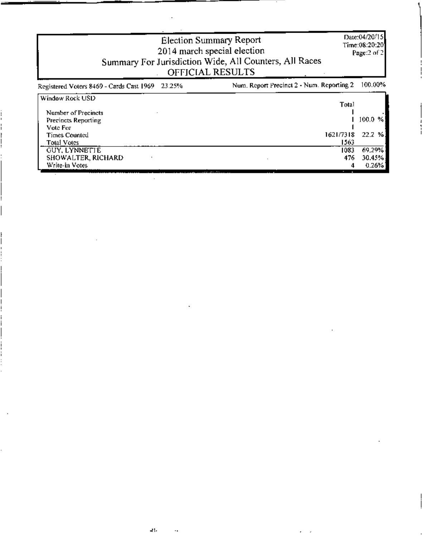|                                                              | <b>Election Summary Report</b><br>2014 march special election<br>Summary For Jurisdiction Wide, All Counters, All Races<br>OFFICIAL RESULTS | Date:04/20/15<br>Time:08:20:201<br>Page:2 of 2 |
|--------------------------------------------------------------|---------------------------------------------------------------------------------------------------------------------------------------------|------------------------------------------------|
| 23.25%<br>Registered Voters 8469 - Cards Cast 1969           | Num. Report Precinct 2 - Num. Reporting 2                                                                                                   | 100.00%                                        |
| Window Rock USD<br>Number of Precincts                       | Total                                                                                                                                       |                                                |
| Precincts Reporting<br>Vote For-                             |                                                                                                                                             | 100.0-<br>%                                    |
| <b>Times Counted</b><br>Total Votes                          | 1621/7318<br>1563                                                                                                                           | 22.2 %                                         |
| <b>GUY, LYNNETTE</b><br>SHOWALTER, RICHARD<br>Write-in Votes | 1083<br>476<br>4                                                                                                                            | 69,29%<br>30.45%<br>$0.26\%1$                  |

 $\sim 10^{-11}$ 

 $\mathbf{R}_\mathrm{F}$ 

 $\cdot$  .

 $\bar{1}$ 

 $\ddot{\phantom{0}}$ 

 $\cdot$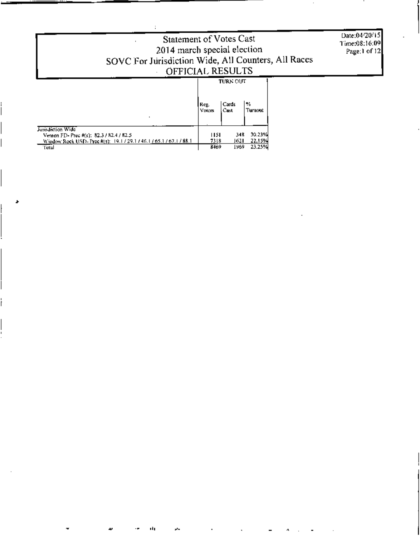| Statement of Votes Cast<br>2014 march special election<br>SOVC For Jurisdiction Wide, All Counters, All Races<br>OFFICIAL RESULTS   |                     |                                    |                            | Date:04/20/15<br>Time:08:16:09<br>Page:1 of 12 |
|-------------------------------------------------------------------------------------------------------------------------------------|---------------------|------------------------------------|----------------------------|------------------------------------------------|
|                                                                                                                                     | Reg.<br>Voters      | <b>TURN OUT</b><br>l Cards<br>Cast | $\mathcal{H}_0$<br>Turnout |                                                |
| Jurisdiction Wide<br>Vernon FD- Prec #(s): 82.3 / 82.4 / 82.5<br>Window Rock USD- Prec #(s): 19.1/29.1/46.1/65.1/67.1/88.1<br>Total | HSL<br>7318<br>8469 | 348<br>1621<br>1969                | 30.23%<br>22.15%<br>23.25% |                                                |

 $\ddot{\phantom{a}}$ 

đ,

÷,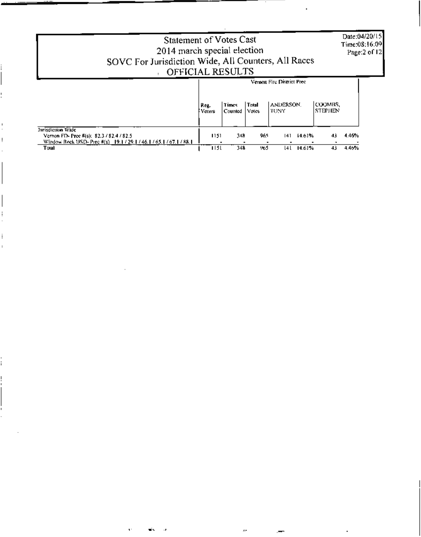| <b>Statement of Votes Cast</b><br>2014 march special election                                                                   |                |                  |                 |                            |        |                           |       | Date:04/20/15<br>Time:08:16:09<br>Page:2 of 12 |
|---------------------------------------------------------------------------------------------------------------------------------|----------------|------------------|-----------------|----------------------------|--------|---------------------------|-------|------------------------------------------------|
| SOVC For Jurisdiction Wide, All Counters, All Races                                                                             |                |                  |                 |                            |        |                           |       |                                                |
| OFFICIAL RESULTS                                                                                                                |                |                  |                 |                            |        |                           |       |                                                |
|                                                                                                                                 |                |                  |                 | Vernon Fire District Prec- |        |                           |       |                                                |
|                                                                                                                                 | Reg.<br>Voters | Times<br>Counted | Total.<br>Votes | <b>ANDERSON.</b><br>TONY   |        | COOMBS.<br><b>STEPHEN</b> |       |                                                |
| Jurisdiction Wide<br>Vernon FD- Pree #(s): 82.3/82.4/82.5<br>Window Rock USD- Prec #(s) 19.1 / 29.1 / 46.1 / 65.1 / 67.1 / 88.1 | 1151           | 348              | 965             | 141                        | 14.61% | 43                        | 4.46% |                                                |
| Total                                                                                                                           | 1151           | 348              | 965             | l4 l                       | 14.61% | 43                        | 4.46% |                                                |

 $\mathcal{L}(\mathcal{L}^{\mathcal{L}})$  and  $\mathcal{L}(\mathcal{L}^{\mathcal{L}})$  and  $\mathcal{L}(\mathcal{L}^{\mathcal{L}})$ 

Ţ.

 $\blacksquare$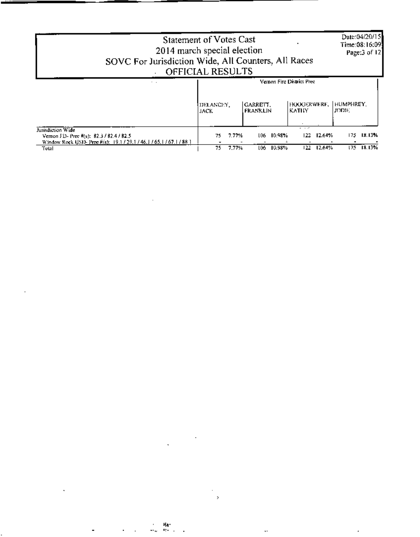| SOVC For Jurisdiction Wide, All Counters, All Races                                                                                  | <b>Statement of Votes Cast</b><br>2014 march special election<br>OFFICIAL RESULTS |                      |                             | Date:04/20/15<br>Time:08:16:091<br>Page:3 of 12 |
|--------------------------------------------------------------------------------------------------------------------------------------|-----------------------------------------------------------------------------------|----------------------|-----------------------------|-------------------------------------------------|
| $\cdot$ .                                                                                                                            |                                                                                   |                      | Vernon Fire District Prec-  |                                                 |
|                                                                                                                                      | DELANCIO',<br>JACK.                                                               | GARREIT.<br>FRANKLIN | HOOGERWERF,<br><b>KATHY</b> | HUMPHREY.<br>ונחטו.                             |
| Jurisdiction Wide<br>Vernon FD- Prec #(s): 82.3 / 82.4 / 82.5<br>Window Rock USD- Prec #(s): 19.1 / 29.1 / 46.1 / 65.1 / 67.1 / 88.1 | 7.77%<br>75.                                                                      | 10.98%<br>106        | $ -$<br>12.64%<br>122.      | 18.13%<br>175.                                  |
| Total                                                                                                                                | 7.77%<br>75.                                                                      | 10.98%<br>L06 -      | 122.<br>12.64%              | 175 18.13%                                      |

 $\mathbb{R}^n$  and  $\mathbb{R}^n$  are the contract of  $\mathbb{R}^n$  . The contract of  $\mathbb{R}^n$  and  $\mathbb{R}^n$  are the contract of  $\mathbb{R}^n$ 

 $\mathcal{L}_{\mathcal{A}}$  and the set of the set of the set of the set of the set of the set of the set of the set of the set of the set of the set of the set of the set of the set of the set of the set of the set of the set of the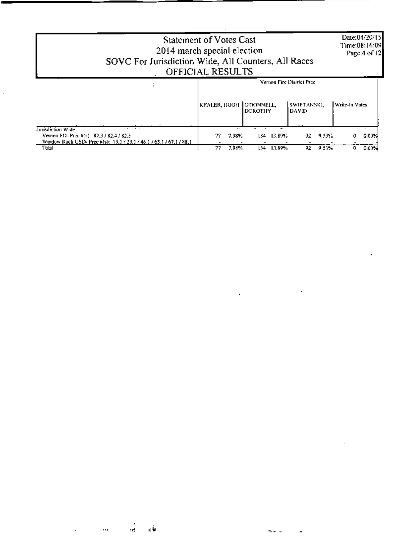| <b>Statement of Votes Cast</b><br>2014 march special election<br>SOVC For Jurisdiction Wide, All Counters, All Races<br>OFFICIAL RESULTS |    |           |                                             |        |                            |       |                | Date:04/20/15<br>Time:08:16:09 <br>Page: 4 of 12 |
|------------------------------------------------------------------------------------------------------------------------------------------|----|-----------|---------------------------------------------|--------|----------------------------|-------|----------------|--------------------------------------------------|
|                                                                                                                                          |    |           |                                             |        | Vernon Fire District Prec- |       |                |                                                  |
|                                                                                                                                          |    |           | KEALER, HUGH   O'DONNELL,<br><b>DOROTHY</b> |        | SWIETANSKI,<br>DAVID       |       | Write-In Votes |                                                  |
| Jurisdiction Wide<br>$\cdots$<br>$\cdot$ $\cdot$                                                                                         |    | $\cdot$ . | $\ddotsc$                                   |        |                            |       |                |                                                  |
| Vernon F11- Prec #(s) R2.3 / 82.4 / 82.5<br>Window Rock USD- Prec #(s): 19.1 / 29.1 / 46.1 / 65.1 / 67.1 / 88.1                          |    | 7.98%     | 134.                                        | 13.89% | 92                         | 9.53% |                | $0.00\%$                                         |
| Total                                                                                                                                    | 77 | 7.98%     | 134                                         | 13.89% | 92                         | 9.53% |                | 0.00 X                                           |

 $\label{eq:2.1} \frac{1}{2} \sum_{i=1}^n \frac{1}{2} \sum_{j=1}^n \frac{1}{2} \sum_{j=1}^n \frac{1}{2} \sum_{j=1}^n \frac{1}{2} \sum_{j=1}^n \frac{1}{2} \sum_{j=1}^n \frac{1}{2} \sum_{j=1}^n \frac{1}{2} \sum_{j=1}^n \frac{1}{2} \sum_{j=1}^n \frac{1}{2} \sum_{j=1}^n \frac{1}{2} \sum_{j=1}^n \frac{1}{2} \sum_{j=1}^n \frac{1}{2} \sum_{j=1}^n \frac{$ 

 $\label{eq:2.1} \mathcal{L}(\mathcal{L}^{\text{max}}_{\mathcal{L}}(\mathcal{L}^{\text{max}}_{\mathcal{L}}),\mathcal{L}^{\text{max}}_{\mathcal{L}^{\text{max}}_{\mathcal{L}}})$ 

 $\label{eq:2.1} \mathcal{L}(\mathcal{L}(\mathcal{L})) = \mathcal{L}(\mathcal{L}(\mathcal{L})) = \mathcal{L}(\mathcal{L}(\mathcal{L})) = \mathcal{L}(\mathcal{L}(\mathcal{L})) = \mathcal{L}(\mathcal{L}(\mathcal{L}))$ 

 $\epsilon_{\rm{max}}$ 

 $\label{eq:2.1} \frac{1}{\sqrt{2}}\left(\frac{1}{\sqrt{2}}\right)^{2} \frac{1}{\sqrt{2}}\left(\frac{1}{\sqrt{2}}\right)^{2} \frac{1}{\sqrt{2}}\left(\frac{1}{\sqrt{2}}\right)^{2} \frac{1}{\sqrt{2}}\left(\frac{1}{\sqrt{2}}\right)^{2} \frac{1}{\sqrt{2}}\left(\frac{1}{\sqrt{2}}\right)^{2} \frac{1}{\sqrt{2}}\left(\frac{1}{\sqrt{2}}\right)^{2} \frac{1}{\sqrt{2}}\left(\frac{1}{\sqrt{2}}\right)^{2} \frac{1}{\sqrt{2}}\left(\frac{$ 

 $\vec{\Phi}_0$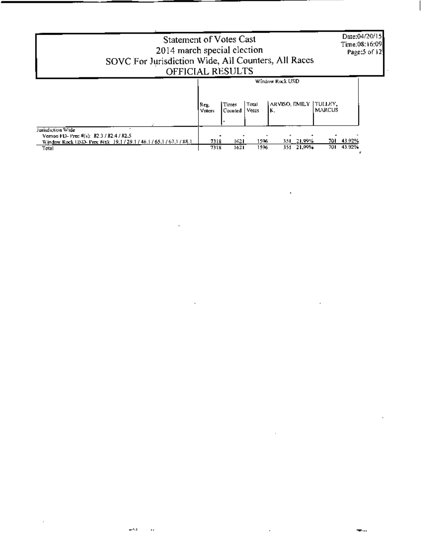| <b>Statement of Votes Cast</b><br>2014 march special election<br>SOVC For Jurisdiction Wide, All Counters, All Races<br>OFFICIAL RESULTS        |                |                  |                |                                         |                           | Date:04/20/15<br>Time:08:16:09<br>Page: $5$ of $12$ |
|-------------------------------------------------------------------------------------------------------------------------------------------------|----------------|------------------|----------------|-----------------------------------------|---------------------------|-----------------------------------------------------|
|                                                                                                                                                 | Reg.<br>Voters | Times<br>Counted | Total<br>Votes | Window Rock USD<br>ARVISO, EMILY<br>ΙK. | ITULLEY.<br><b>MARCUS</b> |                                                     |
| Jurisdiction Wide<br>Vernon FD-Prec $4(s)$ : 82.3 / 82.4 / 82.5<br>Window Rock USD- Prec #(s): 19.1 / 29.1 / 46.1 / 65.1 / 67.1 / 88.1<br>Total | 7318<br>7318   | 1621<br>1621     | 1596<br>1596   | 351 21.99%<br>351 21.99%                | 701.                      | 701 43.92%<br>43.92%                                |

 $\label{eq:2.1} \mathcal{L}(\mathcal{L}^{\text{max}}_{\mathcal{L}}(\mathcal{L}^{\text{max}}_{\mathcal{L}}(\mathcal{L}^{\text{max}}_{\mathcal{L}}(\mathcal{L}^{\text{max}}_{\mathcal{L}^{\text{max}}_{\mathcal{L}}(\mathcal{L}^{\text{max}}_{\mathcal{L}^{\text{max}}_{\mathcal{L}^{\text{max}}_{\mathcal{L}^{\text{max}}_{\mathcal{L}^{\text{max}}_{\mathcal{L}^{\text{max}}_{\mathcal{L}^{\text{max}}_{\mathcal{L}^{\text{max}}_{\mathcal{L}^{\text{max}}$ 

 $\label{eq:2.1} \frac{1}{\sqrt{2}}\int_{\mathbb{R}^3}\frac{1}{\sqrt{2}}\left(\frac{1}{\sqrt{2}}\right)^2\left(\frac{1}{\sqrt{2}}\right)^2\left(\frac{1}{\sqrt{2}}\right)^2\left(\frac{1}{\sqrt{2}}\right)^2\left(\frac{1}{\sqrt{2}}\right)^2.$ 

 $\sim$   $\sim$ 

 $\mathcal{L}(\mathcal{L}(\mathcal{L}(\mathcal{L}(\mathcal{L}(\mathcal{L}(\mathcal{L}(\mathcal{L}(\mathcal{L}(\mathcal{L}(\mathcal{L}(\mathcal{L}(\mathcal{L}(\mathcal{L}(\mathcal{L}(\mathcal{L}(\mathcal{L}(\mathcal{L}(\mathcal{L}(\mathcal{L}(\mathcal{L}(\mathcal{L}(\mathcal{L}(\mathcal{L}(\mathcal{L}(\mathcal{L}(\mathcal{L}(\mathcal{L}(\mathcal{L}(\mathcal{L}(\mathcal{L}(\mathcal{L}(\mathcal{L}(\mathcal{L}(\mathcal{L}(\mathcal{L}(\mathcal{$ 

 $\mathcal{L}(\mathcal{L}(\mathcal{L}(\mathcal{L}(\mathcal{L}(\mathcal{L}(\mathcal{L}(\mathcal{L}(\mathcal{L}(\mathcal{L}(\mathcal{L}(\mathcal{L}(\mathcal{L}(\mathcal{L}(\mathcal{L}(\mathcal{L}(\mathcal{L}(\mathcal{L}(\mathcal{L}(\mathcal{L}(\mathcal{L}(\mathcal{L}(\mathcal{L}(\mathcal{L}(\mathcal{L}(\mathcal{L}(\mathcal{L}(\mathcal{L}(\mathcal{L}(\mathcal{L}(\mathcal{L}(\mathcal{L}(\mathcal{L}(\mathcal{L}(\mathcal{L}(\mathcal{L}(\mathcal{$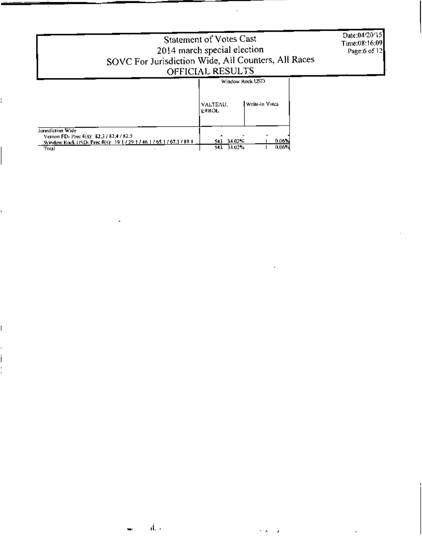|                                                                                                                                              | Statement of Votes Cast<br>2014 march special election<br>SOVC For Jurisdiction Wide, All Counters, All Races<br>OFFICIAL RESULTS | Date:04/20/15]<br>Time:08:16:09<br>Page:6 of 12 |
|----------------------------------------------------------------------------------------------------------------------------------------------|-----------------------------------------------------------------------------------------------------------------------------------|-------------------------------------------------|
|                                                                                                                                              | Window Rock USD                                                                                                                   |                                                 |
|                                                                                                                                              | Write-In Votes<br>VALTEAU.<br>ERROL                                                                                               |                                                 |
| Jurisdiction Wide<br>Vernon FD- Prec #(s): 82.3 / 82.4 / 82.5<br>Window Rock USD-Prec #(s): 19 1 / 29 1 / 46.1 / 65.1 / 67.1 / 88 1<br>Total | 0.06%<br>34.02%<br>543.<br>0.06%<br>34.02%<br>543                                                                                 |                                                 |

l.

Ê,

 $\overline{\phantom{a}}$ 

ł ĭ.  $\bar{z}$ 

 $\ddot{\phantom{a}}$ 

ä,

 $\overline{a}$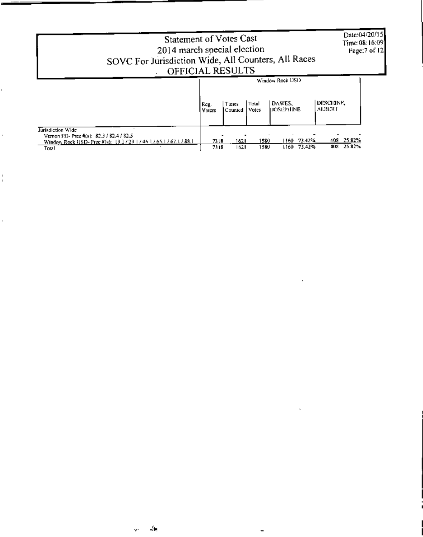| <b>Statement of Votes Cast</b><br>2014 march special election<br>SOVC For Jurisdiction Wide, All Counters, All Races<br>OFFICIAL RESULTS |                |                  |                |                                               |                     | Date:04/20/15<br>Time:08:16:09<br>Page: 7 of 12 |
|------------------------------------------------------------------------------------------------------------------------------------------|----------------|------------------|----------------|-----------------------------------------------|---------------------|-------------------------------------------------|
|                                                                                                                                          | Reg.<br>Voters | Times<br>Counted | Total<br>Votes | Window Rock USD<br>DAWES.<br><b>JOSEPHINE</b> | DESCHINE.<br>ALBERT |                                                 |
| Turisdiction Wide<br>Vernon F13- Prec #(s): 82.3 / 82.4 / 82.5<br>Window Rock USD-Prec $R(s)$ : 19.1/29 1/46 1/65.1/67.1/88.1<br>Total   | 7318<br>7318   | 1621<br>1621     | 1580<br>158U   | 73.42%<br>1160.<br>73.42%<br>1160.            | 408.<br>408         | 25.82%<br>25.82%                                |

 $\sim$ 

 $\sim$ 

í.

Ŷ,

 $\frac{1}{1}$ 

l,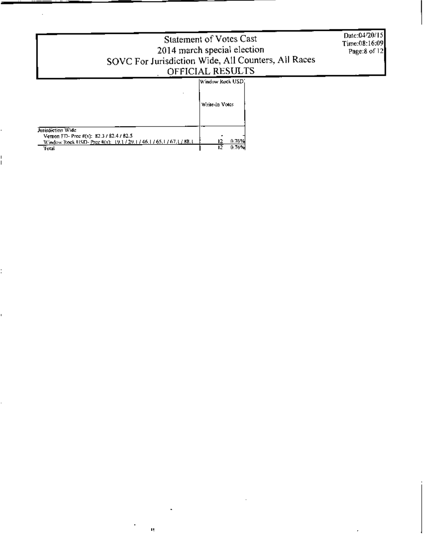| Statement of Votes Cast<br>2014 march special election<br>SOVC For Jurisdiction Wide, All Counters, All Races | Date:04/20/15<br>Time:08:16:09<br>Page:8 of 12 |  |
|---------------------------------------------------------------------------------------------------------------|------------------------------------------------|--|
|                                                                                                               | OFFICIAL RESULTS                               |  |
|                                                                                                               |                                                |  |
|                                                                                                               | Window Rock USD.                               |  |
|                                                                                                               | Write-In Votes                                 |  |
|                                                                                                               |                                                |  |
| <b>Jurisdiction Wide</b>                                                                                      |                                                |  |
| Vernon FD- Prec #(s): 82.3 / 82.4 / 82.5                                                                      |                                                |  |
| Window Rock USD- Pree #(s): 19.1 / 29.1 / 46.1 / 65.1 / 67.1 / 88.1                                           | 0.76%<br>12.                                   |  |
| "Frital                                                                                                       | 0.76%                                          |  |

ų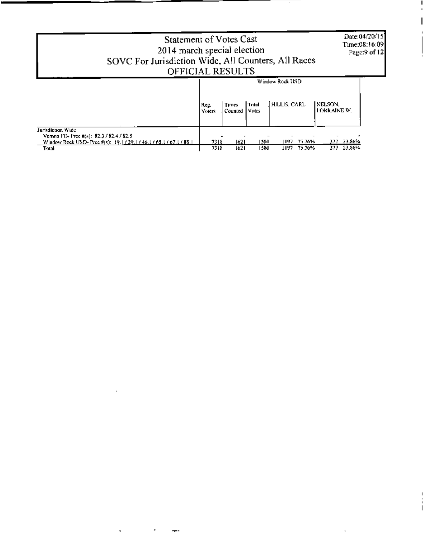|                                                                                                                                               | Date:04/20/15)<br><b>Statement of Votes Cast</b><br>Time:08:16:09<br>2014 march special election<br>SOVC For Jurisdiction Wide, All Counters, All Races<br>OFFICIAL RESULTS | Page:9 of 12 |
|-----------------------------------------------------------------------------------------------------------------------------------------------|-----------------------------------------------------------------------------------------------------------------------------------------------------------------------------|--------------|
|                                                                                                                                               | Window Rock USD<br>HILLIS. CARL<br>INELSON.<br>Tatal<br>Times<br>Reg.<br>LORRAINE W.<br>Votes<br>Counted<br><b>Voters</b>                                                   |              |
| Jurisdiction Wale<br>Vernon FIX Prec #(s): 82.3 / 82.4 / 82.5<br>Window Rock USD- Prec #(s): 19.1 / 29.1 / 46.1 / 65.1 / 67.1 / 88.1<br>Total | - 23.86%<br>1621<br>1580<br>7318<br>75.76%<br>1197.<br>377.<br>1621<br>1580<br>23.86%<br>75.76%<br>7318<br>377<br>1197.                                                     |              |

 $\sim 10^{11}$  km  $^{-1}$ 

 $\lambda_{\rm{max}}=2.00$  km  $^{-1}$ 

-

 $\sim$ 

 $\mathbf{v}$ 

÷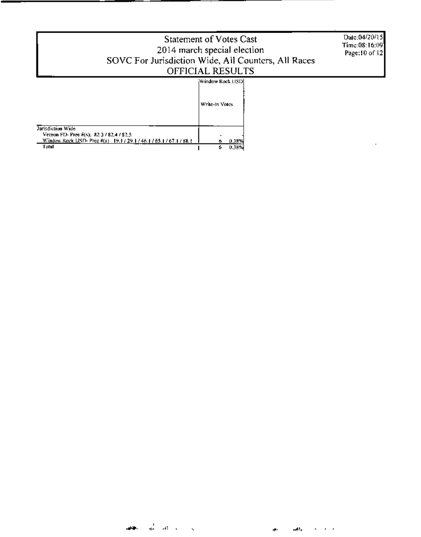|                                                                        | <b>Statement of Votes Cast</b><br>2014 march special election<br>SOVC For Jurisdiction Wide, All Counters, All Races<br>OFFICIAL RESULTS | Date:04/20/15<br>Time:08:16:09]<br>Page:10 of 12 |
|------------------------------------------------------------------------|------------------------------------------------------------------------------------------------------------------------------------------|--------------------------------------------------|
|                                                                        | Window Rock USD                                                                                                                          |                                                  |
|                                                                        | Write-In Votes                                                                                                                           |                                                  |
| Jurisdiction Wide<br>Vernon FD- Prec #(s); 82.3 / 82.4 / 82.5          |                                                                                                                                          |                                                  |
| Window Rock USD- Prec #(s) 19.17.29.17.46.17.65.17.67.17.88.1<br>Tutal | 0.38%<br>0.38%                                                                                                                           |                                                  |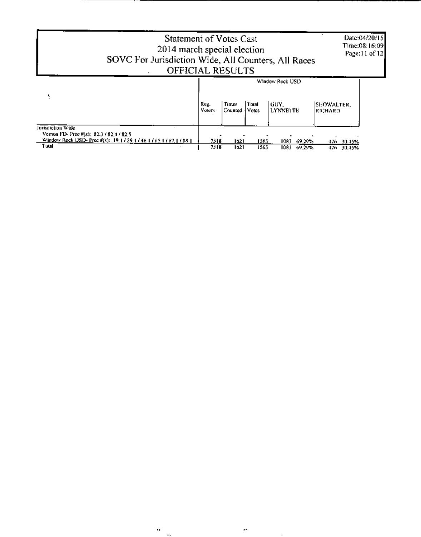|                                                                                                                                               | Statement of Votes Cast<br>2014 march special election<br>SOVC For Jurisdiction Wide, All Counters, All Races<br>OFFICIAL RESULTS |                         |                |                                             |                                     | Date:04/20/15<br>Time:08:16:09]<br>Page: $ 1$ of $ 2 $ |  |
|-----------------------------------------------------------------------------------------------------------------------------------------------|-----------------------------------------------------------------------------------------------------------------------------------|-------------------------|----------------|---------------------------------------------|-------------------------------------|--------------------------------------------------------|--|
|                                                                                                                                               | Reg.<br><b>Voters</b>                                                                                                             | <b>Times</b><br>Counted | Total<br>Votes | Window Rock USD<br>lGUY.<br><b>LYNNETTE</b> | <b>SHOWALTER.</b><br><b>RICHARD</b> |                                                        |  |
| Jurisdiction Wide<br>Vernon FD- Prec #(s): 82.3 / 82.4 / 82.5<br>Window Rock USD- Prec #(s): 19.1 / 29.1 / 46.1 / 65.1 / 67.1 / 88.1<br>Total | 7318<br>7318                                                                                                                      | 1621<br>1621            | 1563<br>1563   | 69.29%<br>1083<br>69.29%<br>1083.           | 476 30.45%<br>476 30,45%            |                                                        |  |

 $\overline{\phantom{a}}$ 

 $-$ 

 $\boldsymbol{\theta}$ 

**Contract Contract** 

 $\mathcal{P}^{\mathcal{L}}$ 

**Contract Contract**